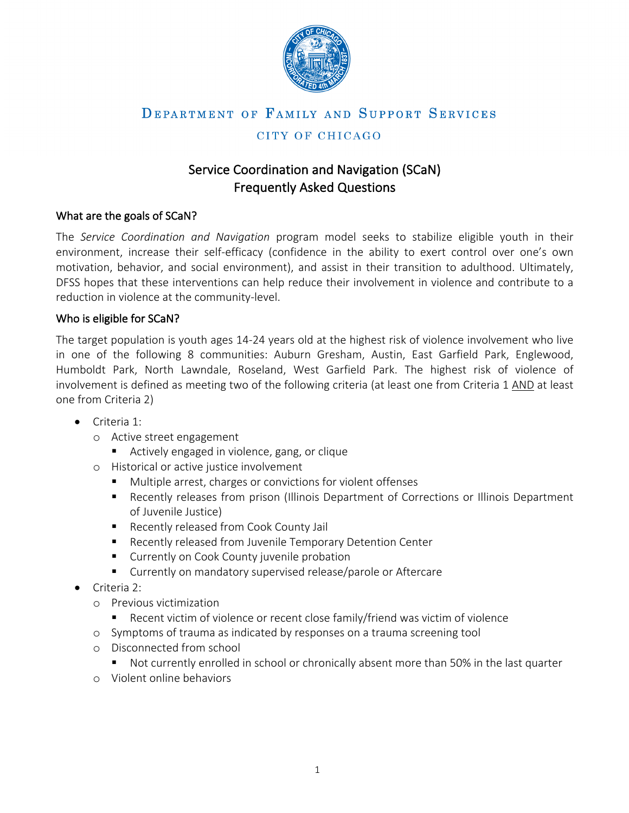

# CITY OF CHICAGO

# Service Coordination and Navigation (SCaN) Frequently Asked Questions

## What are the goals of SCaN?

The *Service Coordination and Navigation* program model seeks to stabilize eligible youth in their environment, increase their self-efficacy (confidence in the ability to exert control over one's own motivation, behavior, and social environment), and assist in their transition to adulthood. Ultimately, DFSS hopes that these interventions can help reduce their involvement in violence and contribute to a reduction in violence at the community-level.

## Who is eligible for SCaN?

The target population is youth ages 14-24 years old at the highest risk of violence involvement who live in one of the following 8 communities: Auburn Gresham, Austin, East Garfield Park, Englewood, Humboldt Park, North Lawndale, Roseland, West Garfield Park. The highest risk of violence of involvement is defined as meeting two of the following criteria (at least one from Criteria 1 AND at least one from Criteria 2)

- Criteria 1:
	- o Active street engagement
		- Actively engaged in violence, gang, or clique
	- o Historical or active justice involvement
		- Multiple arrest, charges or convictions for violent offenses
		- Recently releases from prison (Illinois Department of Corrections or Illinois Department of Juvenile Justice)
		- Recently released from Cook County Jail
		- Recently released from Juvenile Temporary Detention Center
		- Currently on Cook County juvenile probation
		- Currently on mandatory supervised release/parole or Aftercare
- Criteria 2:
	- o Previous victimization
		- Recent victim of violence or recent close family/friend was victim of violence
	- o Symptoms of trauma as indicated by responses on a trauma screening tool
	- o Disconnected from school
		- Not currently enrolled in school or chronically absent more than 50% in the last quarter
	- o Violent online behaviors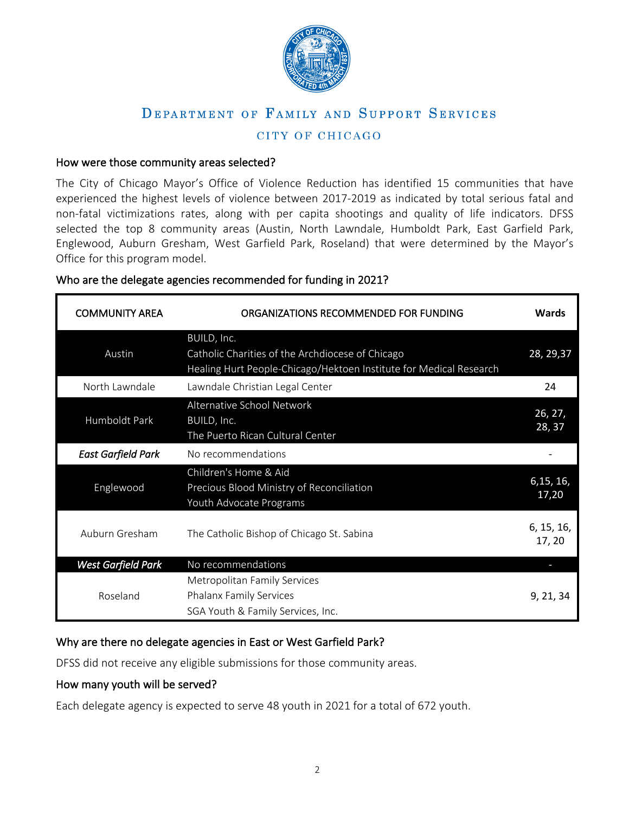

# CITY OF CHICAGO

#### How were those community areas selected?

The City of Chicago Mayor's Office of Violence Reduction has identified 15 communities that have experienced the highest levels of violence between 2017-2019 as indicated by total serious fatal and non-fatal victimizations rates, along with per capita shootings and quality of life indicators. DFSS selected the top 8 community areas (Austin, North Lawndale, Humboldt Park, East Garfield Park, Englewood, Auburn Gresham, West Garfield Park, Roseland) that were determined by the Mayor's Office for this program model.

#### Who are the delegate agencies recommended for funding in 2021?

| <b>COMMUNITY AREA</b>     | ORGANIZATIONS RECOMMENDED FOR FUNDING                                                                                                 | Wards                |
|---------------------------|---------------------------------------------------------------------------------------------------------------------------------------|----------------------|
| Austin                    | BUILD, Inc.<br>Catholic Charities of the Archdiocese of Chicago<br>Healing Hurt People-Chicago/Hektoen Institute for Medical Research | 28, 29, 37           |
| North Lawndale            | Lawndale Christian Legal Center                                                                                                       | 24                   |
| Humboldt Park             | Alternative School Network<br>BUILD, Inc.<br>The Puerto Rican Cultural Center                                                         | 26, 27,<br>28, 37    |
| <b>East Garfield Park</b> | No recommendations                                                                                                                    |                      |
| Englewood                 | Children's Home & Aid<br>Precious Blood Ministry of Reconciliation<br>Youth Advocate Programs                                         | 6,15, 16,<br>17,20   |
| Auburn Gresham            | The Catholic Bishop of Chicago St. Sabina                                                                                             | 6, 15, 16,<br>17, 20 |
| West Garfield Park        | No recommendations                                                                                                                    |                      |
| Roseland                  | Metropolitan Family Services<br><b>Phalanx Family Services</b><br>SGA Youth & Family Services, Inc.                                   | 9, 21, 34            |

#### Why are there no delegate agencies in East or West Garfield Park?

DFSS did not receive any eligible submissions for those community areas.

#### How many youth will be served?

Each delegate agency is expected to serve 48 youth in 2021 for a total of 672 youth.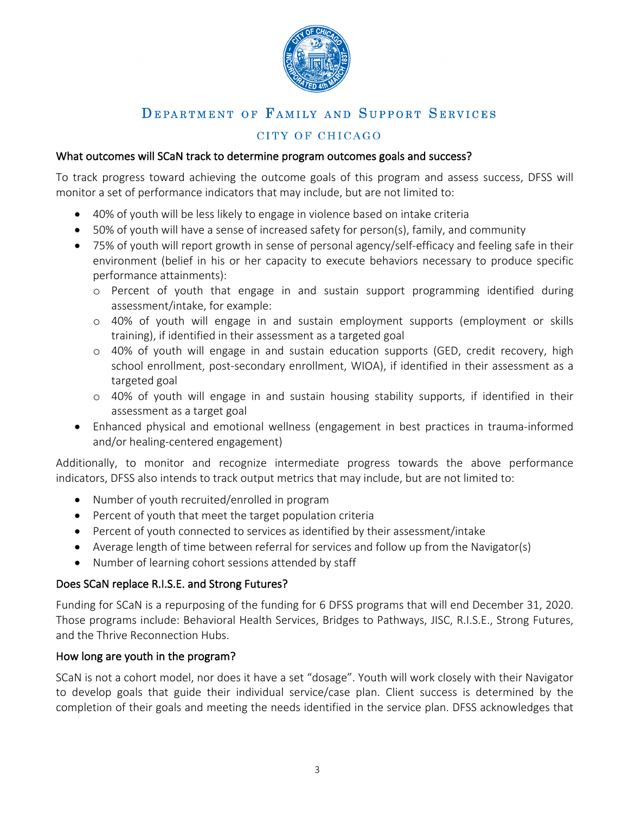

# CITY OF CHICAGO

### What outcomes will SCaN track to determine program outcomes goals and success?

To track progress toward achieving the outcome goals of this program and assess success, DFSS will monitor a set of performance indicators that may include, but are not limited to:

- 40% of youth will be less likely to engage in violence based on intake criteria
- 50% of youth will have a sense of increased safety for person(s), family, and community
- 75% of youth will report growth in sense of personal agency/self-efficacy and feeling safe in their environment (belief in his or her capacity to execute behaviors necessary to produce specific performance attainments):
	- o Percent of youth that engage in and sustain support programming identified during assessment/intake, for example:
	- o 40% of youth will engage in and sustain employment supports (employment or skills training), if identified in their assessment as a targeted goal
	- o 40% of youth will engage in and sustain education supports (GED, credit recovery, high school enrollment, post-secondary enrollment, WIOA), if identified in their assessment as a targeted goal
	- o 40% of youth will engage in and sustain housing stability supports, if identified in their assessment as a target goal
- Enhanced physical and emotional wellness (engagement in best practices in trauma-informed and/or healing-centered engagement)

Additionally, to monitor and recognize intermediate progress towards the above performance indicators, DFSS also intends to track output metrics that may include, but are not limited to:

- Number of youth recruited/enrolled in program
- Percent of youth that meet the target population criteria
- Percent of youth connected to services as identified by their assessment/intake
- Average length of time between referral for services and follow up from the Navigator(s)
- Number of learning cohort sessions attended by staff

## Does SCaN replace R.I.S.E. and Strong Futures?

Funding for SCaN is a repurposing of the funding for 6 DFSS programs that will end December 31, 2020. Those programs include: Behavioral Health Services, Bridges to Pathways, JISC, R.I.S.E., Strong Futures, and the Thrive Reconnection Hubs.

## How long are youth in the program?

SCaN is not a cohort model, nor does it have a set "dosage". Youth will work closely with their Navigator to develop goals that guide their individual service/case plan. Client success is determined by the completion of their goals and meeting the needs identified in the service plan. DFSS acknowledges that